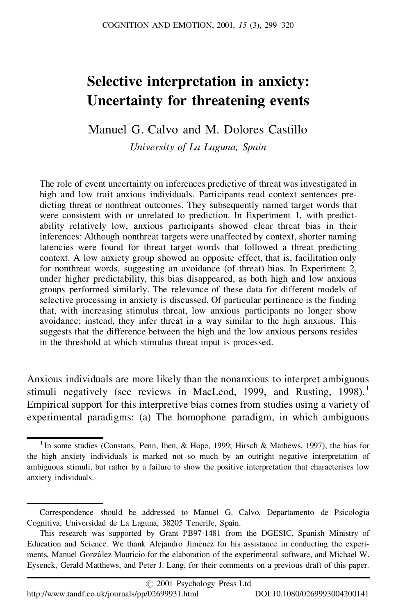# **Selective interpretation in anxiety: Uncertainty for threatening events**

Manuel G. Calvo and M. Dolores Castillo

*University of La Laguna, Spain*

The role of event uncertainty on inferences predictive of threat was investigated in high and low trait anxious individuals. Participants read context sentences predicting threat or nonthreat outcomes. They subsequently named target words that were consistent with or unrelated to prediction. In Experiment 1, with predictability relatively low, anxious participants showed clear threat bias in their inferences: Although nonthreat targets were unaffected by context, shorter naming latencies were found for threat target words that followed a threat predicting context. A low anxiety group showed an opposite effect, that is, facilitation only for nonthreat words, suggesting an avoidance (of threat) bias. In Experiment 2, under higher predictability, this bias disappeared, as both high and low anxious groups performed similarly. The relevance of these data for different models of selective processing in anxiety is discussed. Of particular pertinence is the finding that, with increasing stimulus threat, low anxious participants no longer show avoidance; instead, they infer threat in a way similar to the high anxious. This suggests that the difference between the high and the low anxious persons resides in the threshold at which stimulus threat input is processed.

Anxious individuals are more likely than the nonanxious to interpret ambiguous stimuli negatively (see reviews in MacLeod, 1999, and Rusting, 1998).<sup>1</sup> Empirical support for this interpretive bias comes from studies using a variety of experimental paradigms: (a) The homophone paradigm, in which ambiguous

<sup>&</sup>lt;sup>1</sup> In some studies (Constans, Penn, Ihen, & Hope, 1999; Hirsch & Mathews, 1997), the bias for the high anxiety individuals is marked not so much by an outright negative interpretation of ambiguous stimuli, but rather by a failure to show the positive interpretation that characterises low anxiety individuals.

Correspondence should be addressed to Manuel G. Calvo, Departamento de Psicología Cognitiva, Universidad de La Laguna, 38205 Tenerife, Spain.

This research was supported by Grant PB97-1481 from the DGESIC, Spanish Ministry of Education and Science. We thank Alejandro Jiménez for his assistance in conducting the experiments, Manuel González Mauricio for the elaboration of the experimental software, and Michael W. Eysenck, Gerald Matthews, and Peter J. Lang, for their comments on a previous draft of this paper.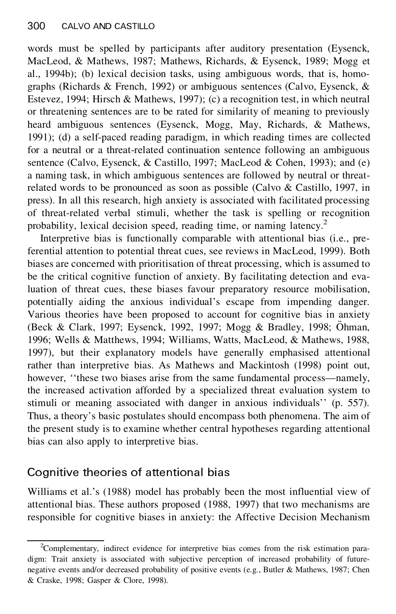words must be spelled by participants after auditory presentation (Eysenck, MacLeod, & Mathews, 1987; Mathews, Richards, & Eysenck, 1989; Mogg et al., 1994b); (b) lexical decision tasks, using ambiguous words, that is, homographs (Richards & French, 1992) or ambiguous sentences (Calvo, Eysenck, & Estevez, 1994; Hirsch & Mathews, 1997); (c) a recognition test, in which neutral or threatening sentences are to be rated for similarity of meaning to previously heard ambiguous sentences (Eysenck, Mogg, May, Richards, & Mathews, 1991); (d) a self-paced reading paradigm, in which reading times are collected for a neutral or a threat-related continuation sentence following an ambiguous sentence (Calvo, Eysenck, & Castillo, 1997; MacLeod & Cohen, 1993); and (e) a naming task, in which ambiguous sentences are followed by neutral or threatrelated words to be pronounced as soon as possible (Calvo & Castillo, 1997, in press). In all this research, high anxiety is associated with facilitated processing of threat-related verbal stimuli, whether the task is spelling or recognition probability, lexical decision speed, reading time, or naming latency.<sup>2</sup>

Interpretive bias is functionally comparable with attentional bias (i.e., preferential attention to potential threat cues, see reviews in MacLeod, 1999). Both biases are concerned with prioritisation of threat processing, which is assumed to be the critical cognitive function of anxiety. By facilitating detection and evaluation of threat cues, these biases favour preparatory resource mobilisation, potentially aiding the anxious individual's escape from impending danger. Various theories have been proposed to account for cognitive bias in anxiety (Beck & Clark, 1997; Eysenck, 1992, 1997; Mogg & Bradley, 1998; Öhman, 1996; Wells & Matthews, 1994; Williams, Watts, MacLeod, & Mathews, 1988, 1997), but their explanatory models have generally emphasised attentional rather than interpretive bias. As Mathews and Mackintosh (1998) point out, however, ''these two biases arise from the same fundamental process—namely, the increased activation afforded by a specialized threat evaluation system to stimuli or meaning associated with danger in anxious individuals'' (p. 557). Thus, a theory's basic postulates should encompass both phenomena. The aim of the present study is to examine whether central hypotheses regarding attentional bias can also apply to interpretive bias.

# Cognitive theories of attentional bias

Williams et al.'s (1988) model has probably been the most influential view of attentional bias. These authors proposed (1988, 1997) that two mechanisms are responsible for cognitive biases in anxiety: the Affective Decision Mechanism

<sup>2</sup>Complementary, indirect evidence for interpretive bias comes from the risk estimation paradigm: Trait anxiety is associated with subjective perception of increased probability of futurenegative events and/or decreased probability of positive events (e.g., Butler & Mathews, 1987; Chen & Craske, 1998; Gasper & Clore, 1998).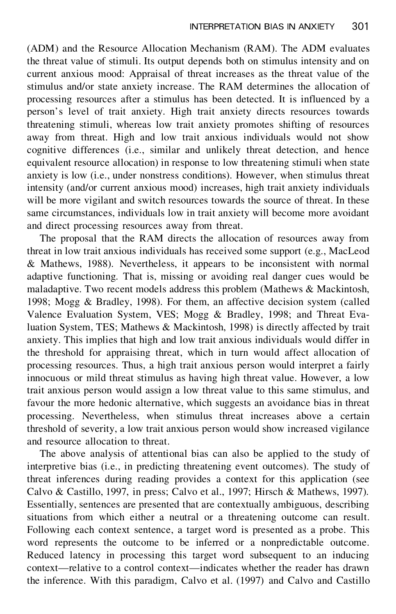(ADM) and the Resource Allocation Mechanism (RAM). The ADM evaluates the threat value of stimuli. Its output depends both on stimulus intensity and on current anxious mood: Appraisal of threat increases as the threat value of the stimulus and/or state anxiety increase. The RAM determines the allocation of processing resources after a stimulus has been detected. It is influenced by a person's level of trait anxiety. High trait anxiety directs resources towards threatening stimuli, whereas low trait anxiety promotes shifting of resources away from threat. High and low trait anxious individuals would not show cognitive differences (i.e., similar and unlikely threat detection, and hence equivalent resource allocation) in response to low threatening stimuli when state anxiety is low (i.e., under nonstress conditions). However, when stimulus threat intensity (and/or current anxious mood) increases, high trait anxiety individuals will be more vigilant and switch resources towards the source of threat. In these same circumstances, individuals low in trait anxiety will become more avoidant and direct processing resources away from threat.

The proposal that the RAM directs the allocation of resources away from threat in low trait anxious individuals has received some support (e.g., MacLeod & Mathews, 1988). Nevertheless, it appears to be inconsistent with normal adaptive functioning. That is, missing or avoiding real danger cues would be maladaptive. Two recent models address this problem (Mathews & Mackintosh, 1998; Mogg & Bradley, 1998). For them, an affective decision system (called Valence Evaluation System, VES; Mogg & Bradley, 1998; and Threat Evaluation System, TES; Mathews & Mackintosh, 1998) is directly affected by trait anxiety. This implies that high and low trait anxious individuals would differ in the threshold for appraising threat, which in turn would affect allocation of processing resources. Thus, a high trait anxious person would interpret a fairly innocuous or mild threat stimulus as having high threat value. However, a low trait anxious person would assign a low threat value to this same stimulus, and favour the more hedonic alternative, which suggests an avoidance bias in threat processing. Nevertheless, when stimulus threat increases above a certain threshold of severity, a low trait anxious person would show increased vigilance and resource allocation to threat.

The above analysis of attentional bias can also be applied to the study of interpretive bias (i.e., in predicting threatening event outcomes). The study of threat inferences during reading provides a context for this application (see Calvo & Castillo, 1997, in press; Calvo et al., 1997; Hirsch & Mathews, 1997). Essentially, sentences are presented that are contextually ambiguous, describing situations from which either a neutral or a threatening outcome can result. Following each context sentence, a target word is presented as a probe. This word represents the outcome to be inferred or a nonpredictable outcome. Reduced latency in processing this target word subsequent to an inducing context—relative to a control context—indicates whether the reader has drawn the inference. With this paradigm, Calvo et al. (1997) and Calvo and Castillo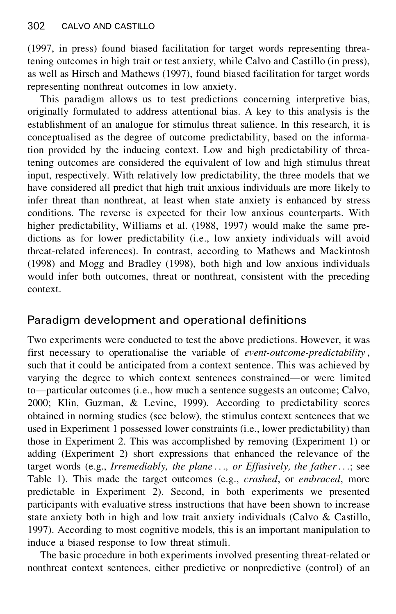(1997, in press) found biased facilitation for target words representing threatening outcomes in high trait or test anxiety, while Calvo and Castillo (in press), as well as Hirsch and Mathews (1997), found biased facilitation for target words representing nonthreat outcomes in low anxiety.

This paradigm allows us to test predictions concerning interpretive bias, originally formulated to address attentional bias. A key to this analysis is the establishment of an analogue for stimulus threat salience. In this research, it is conceptualised as the degree of outcome predictability, based on the information provided by the inducing context. Low and high predictability of threatening outcomes are considered the equivalent of low and high stimulus threat input, respectively. With relatively low predictability, the three models that we have considered all predict that high trait anxious individuals are more likely to infer threat than nonthreat, at least when state anxiety is enhanced by stress conditions. The reverse is expected for their low anxious counterparts. With higher predictability, Williams et al. (1988, 1997) would make the same predictions as for lower predictability (i.e., low anxiety individuals will avoid threat-related inferences). In contrast, according to Mathews and Mackintosh (1998) and Mogg and Bradley (1998), both high and low anxious individuals would infer both outcomes, threat or nonthreat, consistent with the preceding context.

# Paradigm development and operational definitions

Two experiments were conducted to test the above predictions. However, it was first necessary to operationalise the variable of *event-outcome-predictability* , such that it could be anticipated from a context sentence. This was achieved by varying the degree to which context sentences constrained—or were limited to—particular outcomes (i.e., how much a sentence suggests an outcome; Calvo, 2000; Klin, Guzman, & Levine, 1999). According to predictability scores obtained in norming studies (see below), the stimulus context sentences that we used in Experiment 1 possessed lower constraints (i.e., lower predictability) than those in Experiment 2. This was accomplished by removing (Experiment 1) or adding (Experiment 2) short expressions that enhanced the relevance of the target words (e.g., *Irremediably, the plane . . ., or Effusively, the father*. . .; see Table 1). This made the target outcomes (e.g., *crashed*, or *embraced*, more predictable in Experiment 2). Second, in both experiments we presented participants with evaluative stress instructions that have been shown to increase state anxiety both in high and low trait anxiety individuals (Calvo & Castillo, 1997). According to most cognitive models, this is an important manipulation to induce a biased response to low threat stimuli.

The basic procedure in both experiments involved presenting threat-related or nonthreat context sentences, either predictive or nonpredictive (control) of an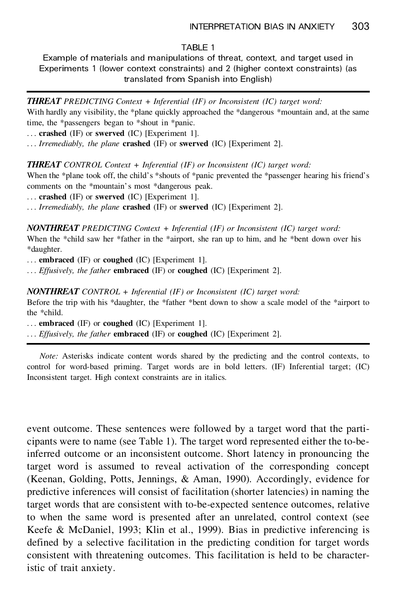### TARI<sub>F1</sub>

Example of materials and manipulations of threat, context, and target used in Experiments 1 (lower context constraints) and 2 (higher context constraints) (as translated from Spanish into English)

*THREAT PREDICTING Context + Inferential (IF) or Inconsistent (IC) target word:*

With hardly any visibility, the \*plane quickly approached the \*dangerous \*mountain and, at the same time, the \*passengers began to \*shout in \*panic.

. . . **crashed** (IF) or **swerved** (IC) [Experiment 1].

. . . *Irremediably, the plane* **crashed** (IF) or **swerved** (IC) [Experiment 2].

*THREAT CONTROL Context + Inferential (IF) or Inconsistent (IC) target word:*

When the \*plane took off, the child's \*shouts of \*panic prevented the \*passenger hearing his friend's comments on the \*mountain's most \*dangerous peak.

. . . **crashed** (IF) or **swerved** (IC) [Experiment 1].

. . . *Irremediably, the plane* **crashed** (IF) or **swerved** (IC) [Experiment 2].

*NONTHREAT PREDICTING Context + Inferential (IF) or Inconsistent (IC) target word:* When the \*child saw her \*father in the \*airport, she ran up to him, and he \*bent down over his

\*daughter.

. . . **embraced** (IF) or **coughed** (IC) [Experiment 1].

. . . *Effusively, the father* **embraced** (IF) or **coughed** (IC) [Experiment 2].

*NONTHREAT CONTROL + Inferential (IF) or Inconsistent (IC) target word:*

Before the trip with his \*daughter, the \*father \*bent down to show ascale model of the \*airport to the \*child.

. . . **embraced** (IF) or **coughed** (IC) [Experiment 1].

. . . *Effusively, the father* **embraced** (IF) or **coughed** (IC) [Experiment 2].

*Note:* Asterisks indicate content words shared by the predicting and the control contexts, to control for word-based priming. Target words are in bold letters. (IF) Inferential target; (IC) Inconsistent target. High context constraints are in italics.

event outcome. These sentences were followed by a target word that the participants were to name (see Table 1). The target word represented either the to-beinferred outcome or an inconsistent outcome. Short latency in pronouncing the target word is assumed to reveal activation of the corresponding concept (Keenan, Golding, Potts, Jennings, & Aman, 1990). Accordingly, evidence for predictive inferences will consist of facilitation (shorter latencies) in naming the target words that are consistent with to-be-expected sentence outcomes, relative to when the same word is presented after an unrelated, control context (see Keefe & McDaniel, 1993; Klin et al., 1999). Bias in predictive inferencing is defined by a selective facilitation in the predicting condition for target words consistent with threatening outcomes. This facilitation is held to be characteristic of trait anxiety.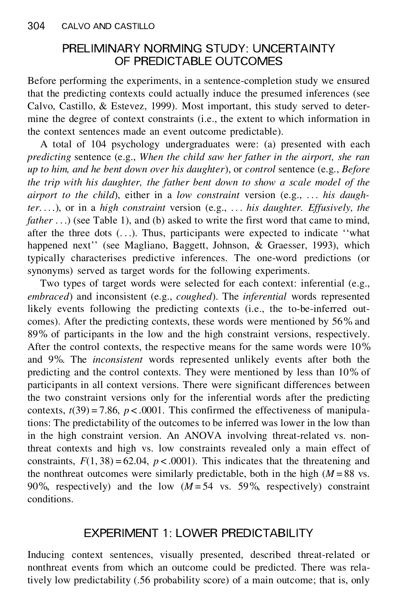# PRELIMINARY NORMING STUDY: UNCERTAINTY OF PREDICTABLE OUTCOMES

Before performing the experiments, in a sentence-completion study we ensured that the predicting contexts could actually induce the presumed inferences (see Calvo, Castillo, & Estevez, 1999). Most important, this study served to determine the degree of context constraints (i.e., the extent to which information in the context sentences made an event outcome predictable).

A total of 104 psychology undergraduates were: (a) presented with each *predicting* sentence (e.g., *When the child saw her father in the airport, she ran up to him, and he bent down over his daughter*), or *control* sentence (e.g., *Before the trip with his daughter, the father bent down to show a scale model of the airport to the child*), either in a *low constraint* version (e.g., . . . *his daughter*. . . .), or in a *high constraint* version (e.g., . . . *his daughter. Effusively, the father* ...) (see Table 1), and (b) asked to write the first word that came to mind, after the three dots  $($ ... $)$ . Thus, participants were expected to indicate "what happened next'' (see Magliano, Baggett, Johnson, & Graesser, 1993), which typically characterises predictive inferences. The one-word predictions (or synonyms) served as target words for the following experiments.

Two types of target words were selected for each context: inferential (e.g., *embraced*) and inconsistent (e.g., *coughed*). The *inferential* words represented likely events following the predicting contexts (i.e., the to-be-inferred outcomes). After the predicting contexts, these words were mentioned by 56% and 89% of participants in the low and the high constraint versions, respectively. After the control contexts, the respective means for the same words were 10% and 9%. The *inconsistent* words represented unlikely events after both the predicting and the control contexts. They were mentioned by less than 10% of participants in all context versions. There were significant differences between the two constraint versions only for the inferential words after the predicting contexts,  $t(39) = 7.86$ ,  $p < .0001$ . This confirmed the effectiveness of manipulations: The predictability of the outcomes to be inferred was lower in the low than in the high constraint version. An ANOVA involving threat-related vs. nonthreat contexts and high vs. low constraints revealed only a main effect of constraints,  $F(1, 38) = 62.04$ ,  $p < .0001$ ). This indicates that the threatening and the nonthreat outcomes were similarly predictable, both in the high  $(M = 88$  vs. 90%, respectively) and the low  $(M=54 \text{ vs. } 59\%$ , respectively) constraint conditions.

# EXPERIMENT 1: LOWER PREDICTABILITY

Inducing context sentences, visually presented, described threat-related or nonthreat events from which an outcome could be predicted. There was relatively low predictability (.56 probability score) of a main outcome; that is, only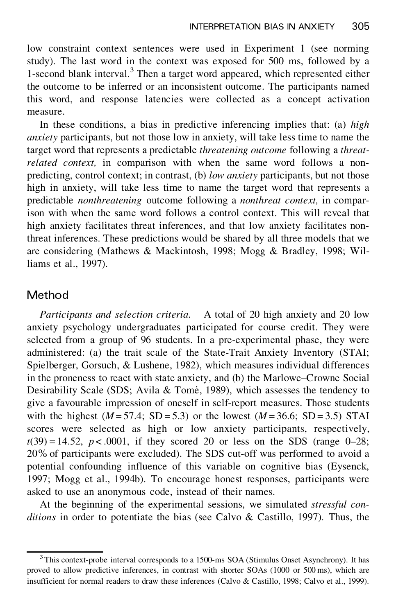low constraint context sentences were used in Experiment 1 (see norming study). The last word in the context was exposed for 500 ms, followed by a 1-second blank interval.<sup>3</sup> Then a target word appeared, which represented either the outcome to be inferred or an inconsistent outcome. The participants named this word, and response latencies were collected as a concept activation measure.

In these conditions, a bias in predictive inferencing implies that: (a) *high anxiety* participants, but not those low in anxiety, will take less time to name the target word that represents a predictable *threatening outcome* following a *threatrelated context,* in comparison with when the same word follows a nonpredicting, control context; in contrast, (b) *low anxiety* participants, but not those high in anxiety, will take less time to name the target word that represents a predictable *nonthreatening* outcome following a *nonthreat context,* in comparison with when the same word follows a control context. This will reveal that high anxiety facilitates threat inferences, and that low anxiety facilitates nonthreat inferences. These predictions would be shared by all three models that we are considering (Mathews & Mackintosh, 1998; Mogg & Bradley, 1998; Williams et al., 1997).

### Method

*Participants and selection criteria*. A total of 20 high anxiety and 20 low anxiety psychology undergraduates participated for course credit. They were selected from a group of 96 students. In a pre-experimental phase, they were administered: (a) the trait scale of the State-Trait Anxiety Inventory (STAI; Spielberger, Gorsuch, & Lushene, 1982), which measures individual differences in the proneness to react with state anxiety, and (b) the Marlowe–Crowne Social Desirability Scale (SDS; Avila & Tomé, 1989), which assesses the tendency to give a favourable impression of oneself in self-report measures. Those students with the highest  $(M = 57.4; SD = 5.3)$  or the lowest  $(M = 36.6; SD = 3.5)$  STAI scores were selected as high or low anxiety participants, respectively,  $t(39) = 14.52$ ,  $p < .0001$ , if they scored 20 or less on the SDS (range 0–28; 20% of participants were excluded). The SDS cut-off was performed to avoid a potential confounding influence of this variable on cognitive bias (Eysenck, 1997; Mogg et al., 1994b). To encourage honest responses, participants were asked to use an anonymous code, instead of their names.

At the beginning of the experimental sessions, we simulated *stressful con ditions* in order to potentiate the bias (see Calvo & Castillo, 1997). Thus, the

<sup>&</sup>lt;sup>3</sup>This context-probe interval corresponds to a 1500-ms SOA (Stimulus Onset Asynchrony). It has proved to allow predictive inferences, in contrast with shorter SOAs (1000 or 500 ms), which are insufficient for normal readers to draw these inferences (Calvo & Castillo, 1998; Calvo et al., 1999).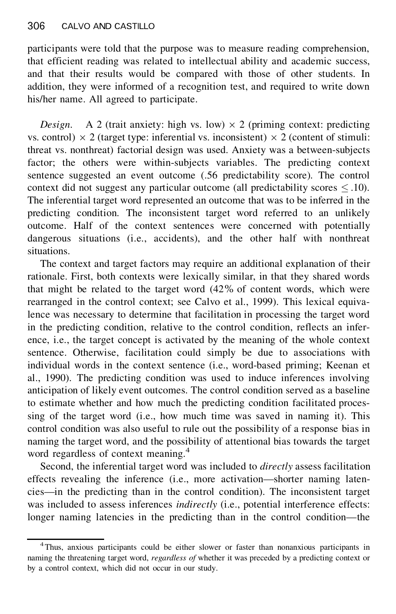participants were told that the purpose was to measure reading comprehension, that efficient reading was related to intellectual ability and academic success, and that their results would be compared with those of other students. In addition, they were informed of a recognition test, and required to write down his/her name. All agreed to participate.

*Design.* A 2 (trait anxiety: high vs. low)  $\times$  2 (priming context: predicting vs. control)  $\times$  2 (target type: inferential vs. inconsistent)  $\times$  2 (content of stimuli: threat vs. nonthreat) factorial design was used. Anxiety was a between-subjects factor; the others were within-subjects variables. The predicting context sentence suggested an event outcome (.56 predictability score). The control context did not suggest any particular outcome (all predictability scores  $\leq .10$ ). The inferential target word represented an outcome that was to be inferred in the predicting condition. The inconsistent target word referred to an unlikely outcome. Half of the context sentences were concerned with potentially dangerous situations (i.e., accidents), and the other half with nonthreat situations.

The context and target factors may require an additional explanation of their rationale. First, both contexts were lexically similar, in that they shared words that might be related to the target word (42% of content words, which were rearranged in the control context; see Calvo et al., 1999). This lexical equivalence was necessary to determine that facilitation in processing the target word in the predicting condition, relative to the control condition, reflects an inference, i.e., the target concept is activated by the meaning of the whole context sentence. Otherwise, facilitation could simply be due to associations with individual words in the context sentence (i.e., word-based priming; Keenan et al., 1990). The predicting condition was used to induce inferences involving anticipation of likely event outcomes. The control condition served as a baseline to estimate whether and how much the predicting condition facilitated processing of the target word (i.e., how much time was saved in naming it). This control condition was also useful to rule out the possibility of a response bias in naming the target word, and the possibility of attentional bias towards the target word regardless of context meaning.<sup>4</sup>

Second, the inferential target word was included to *directly* assess facilitation effects revealing the inference (i.e., more activation—shorter naming latencies—in the predicting than in the control condition). The inconsistent target was included to assess inferences *indirectly* (i.e., potential interference effects: longer naming latencies in the predicting than in the control condition—the

<sup>4</sup>Thus, anxious participants could be either slower or faster than nonanxious participants in naming the threatening target word, *regardless of* whether it was preceded by a predicting context or by a control context, which did not occur in our study.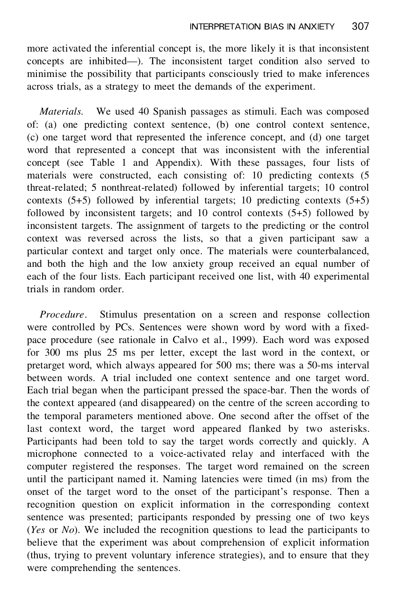more activated the inferential concept is, the more likely it is that inconsistent concepts are inhibited—). The inconsistent target condition also served to minimise the possibility that participants consciously tried to make inferences across trials, as a strategy to meet the demands of the experiment.

*Materials.* We used 40 Spanish passages as stimuli. Each was composed of: (a) one predicting context sentence, (b) one control context sentence, (c) one target word that represented the inference concept, and (d) one target word that represented a concept that was inconsistent with the inferential concept (see Table 1 and Appendix). With these passages, four lists of materials were constructed, each consisting of: 10 predicting contexts (5 threat-related; 5 nonthreat-related) followed by inferential targets; 10 control contexts (5+5) followed by inferential targets; 10 predicting contexts (5+5) followed by inconsistent targets; and 10 control contexts (5+5) followed by inconsistent targets. The assignment of targets to the predicting or the control context was reversed across the lists, so that a given participant saw a particular context and target only once. The materials were counterbalanced, and both the high and the low anxiety group received an equal number of each of the four lists. Each participant received one list, with 40 experimental trials in random order.

*Procedure*. Stimulus presentation on a screen and response collection were controlled by PCs. Sentences were shown word by word with a fixedpace procedure (see rationale in Calvo et al., 1999). Each word was exposed for 300 ms plus 25 ms per letter, except the last word in the context, or pretarget word, which always appeared for 500 ms; there was a 50-ms interval between words. A trial included one context sentence and one target word. Each trial began when the participant pressed the space-bar. Then the words of the context appeared (and disappeared) on the centre of the screen according to the temporal parameters mentioned above. One second after the offset of the last context word, the target word appeared flanked by two asterisks. Participants had been told to say the target words correctly and quickly. A microphone connected to a voice-activated relay and interfaced with the computer registered the responses. The target word remained on the screen until the participant named it. Naming latencies were timed (in ms) from the onset of the target word to the onset of the participant's response. Then a recognition question on explicit information in the corresponding context sentence was presented; participants responded by pressing one of two keys (*Yes* or *No*). We included the recognition questions to lead the participants to believe that the experiment was about comprehension of explicit information (thus, trying to prevent voluntary inference strategies), and to ensure that they were comprehending the sentences.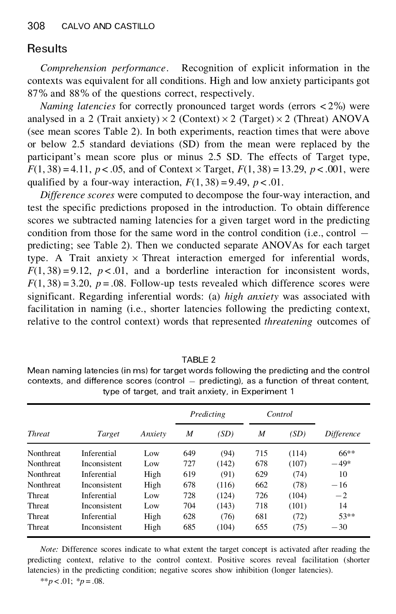# **Results**

*Comprehension performance*. Recognition of explicit information in the contexts was equivalent for all conditions. High and low anxiety participants got 87% and 88% of the questions correct, respectively.

*Naming latencies* for correctly pronounced target words (errors < 2%) were analysed in a 2 (Trait anxiety) $\times$ 2 (Context) $\times$ 2 (Target) $\times$ 2 (Threat) ANOVA (see mean scores Table 2). In both experiments, reaction times that were above or below 2.5 standard deviations (SD) from the mean were replaced by the participant's mean score plus or minus 2.5 SD. The effects of Target type,  $F(1, 38) = 4.11$ ,  $p < .05$ , and of Context  $\times$  Target,  $F(1, 38) = 13.29$ ,  $p < .001$ , were qualified by a four-way interaction,  $F(1, 38) = 9.49$ ,  $p < .01$ .

*Difference scores* were computed to decompose the four-way interaction, and test the specific predictions proposed in the introduction. To obtain difference scores we subtracted naming latencies for a given target word in the predicting condition from those for the same word in the control condition (i.e., control  $$ predicting; see Table 2). Then we conducted separate ANOVAs for each target type. A Trait anxiety  $\times$  Threat interaction emerged for inferential words,  $F(1, 38) = 9.12$ ,  $p < .01$ , and a borderline interaction for inconsistent words,  $F(1, 38) = 3.20$ ,  $p = .08$ . Follow-up tests revealed which difference scores were significant. Regarding inferential words: (a) *high anxiety* was associated with facilitation in naming (i.e., shorter latencies following the predicting context, relative to the control context) words that represented *threatening* outcomes of

|                  | type of target, and trait anxiety, in Experiment to |         |            |       |         |       |                   |  |  |  |
|------------------|-----------------------------------------------------|---------|------------|-------|---------|-------|-------------------|--|--|--|
| <b>Threat</b>    | Target                                              | Anxiety | Predicting |       | Control |       |                   |  |  |  |
|                  |                                                     |         | M          | (SD)  | M       | (SD)  | <i>Difference</i> |  |  |  |
| Nonthreat        | Inferential                                         | Low     | 649        | (94)  | 715     | (114) | $66***$           |  |  |  |
| <b>Nonthreat</b> | Inconsistent                                        | Low     | 727        | (142) | 678     | (107) | $-49*$            |  |  |  |
| <b>Nonthreat</b> | Inferential                                         | High    | 619        | (91)  | 629     | (74)  | 10                |  |  |  |
| <b>Nonthreat</b> | Inconsistent                                        | High    | 678        | (116) | 662     | (78)  | $-16$             |  |  |  |
| Threat           | Inferential                                         | Low     | 728        | (124) | 726     | (104) | $-2$              |  |  |  |
| Threat           | Inconsistent                                        | Low     | 704        | (143) | 718     | (101) | 14                |  |  |  |
| Threat           | Inferential                                         | High    | 628        | (76)  | 681     | (72)  | $53**$            |  |  |  |
| Threat           | Inconsistent                                        | High    | 685        | (104) | 655     | (75)  | $-30$             |  |  |  |

Mean naming latencies (in ms) for target words following the predicting and the control contexts, and difference scores (control  $-$  predicting), as a function of threat content, type of target, and trait anxiety, in Experiment 1

*Note:* Difference scores indicate to what extent the target concept is activated after reading the predicting context, relative to the control context. Positive scores reveal facilitation (shorter latencies) in the predicting condition; negative scores show inhibition (longer latencies).

\*\**p* < .01; \**p* = .08.

TABLE 2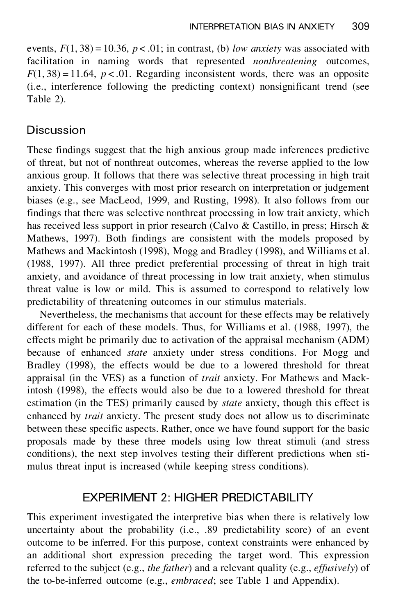events,  $F(1, 38) = 10.36$ ,  $p < .01$ ; in contrast, (b) *low anxiety* was associated with facilitation in naming words that represented *nonthreatening* outcomes,  $F(1, 38) = 11.64$ ,  $p < 0.01$ . Regarding inconsistent words, there was an opposite (i.e., interference following the predicting context) nonsignificant trend (see Table 2).

# **Discussion**

These findings suggest that the high anxious group made inferences predictive of threat, but not of nonthreat outcomes, whereas the reverse applied to the low anxious group. It follows that there was selective threat processing in high trait anxiety. This converges with most prior research on interpretation or judgement biases (e.g., see MacLeod, 1999, and Rusting, 1998). It also follows from our findings that there was selective nonthreat processing in low trait anxiety, which has received less support in prior research (Calvo & Castillo, in press; Hirsch & Mathews, 1997). Both findings are consistent with the models proposed by Mathews and Mackintosh (1998), Mogg and Bradley (1998), and Williams et al. (1988, 1997). All three predict preferential processing of threat in high trait anxiety, and avoidance of threat processing in low trait anxiety, when stimulus threat value is low or mild. This is assumed to correspond to relatively low predictability of threatening outcomes in our stimulus materials.

Nevertheless, the mechanisms that account for these effects may be relatively different for each of these models. Thus, for Williams et al. (1988, 1997), the effects might be primarily due to activation of the appraisal mechanism (ADM) because of enhanced *state* anxiety under stress conditions. For Mogg and Bradley (1998), the effects would be due to a lowered threshold for threat appraisal (in the VES) as a function of *trait* anxiety. For Mathews and Mackintosh (1998), the effects would also be due to a lowered threshold for threat estimation (in the TES) primarily caused by *state* anxiety, though this effect is enhanced by *trait* anxiety. The present study does not allow us to discriminate between these specific aspects. Rather, once we have found support for the basic proposals made by these three models using low threat stimuli (and stress conditions), the next step involves testing their different predictions when stimulus threat input is increased (while keeping stress conditions).

### EXPERIMENT 2: HIGHER PREDICTABILITY

This experiment investigated the interpretive bias when there is relatively low uncertainty about the probability (i.e., .89 predictability score) of an event outcome to be inferred. For this purpose, context constraints were enhanced by an additional short expression preceding the target word. This expression referred to the subject (e.g., *the father*) and a relevant quality (e.g., *effusively*) of the to-be-inferred outcome (e.g., *embraced*; see Table 1 and Appendix).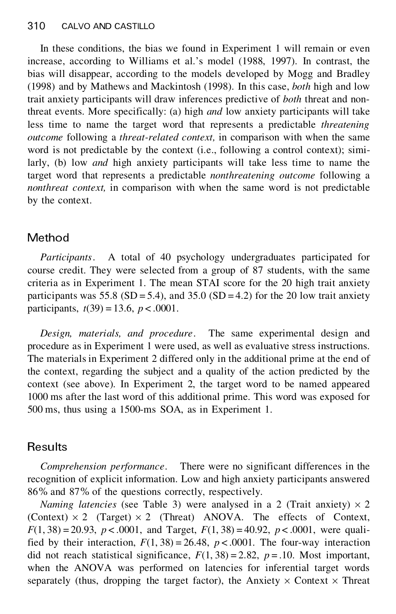In these conditions, the bias we found in Experiment 1 will remain or even increase, according to Williams et al.'s model (1988, 1997). In contrast, the bias will disappear, according to the models developed by Mogg and Bradley (1998) and by Mathews and Mackintosh (1998). In this case, *both* high and low trait anxiety participants will draw inferences predictive of *both* threat and nonthreat events. More specifically: (a) high *and* low anxiety participants will take less time to name the target word that represents a predictable *threatening outcome* following a *threat-related context,* in comparison with when the same word is not predictable by the context (i.e., following a control context); similarly, (b) low *and* high anxiety participants will take less time to name the target word that represents a predictable *nonthreatening outcome* following a *nonthreat context,* in comparison with when the same word is not predictable by the context.

# Method

*Participants*. A total of 40 psychology undergraduates participated for course credit. They were selected from a group of 87 students, with the same criteria as in Experiment 1. The mean STAI score for the 20 high trait anxiety participants was  $55.8$  (SD = 5.4), and  $35.0$  (SD = 4.2) for the 20 low trait anxiety participants,  $t(39) = 13.6$ ,  $p < .0001$ .

*Design, materials, and procedure*. The same experimental design and procedure as in Experiment 1 were used, as well as evaluative stress instructions. The materials in Experiment 2 differed only in the additional prime at the end of the context, regarding the subject and a quality of the action predicted by the context (see above). In Experiment 2, the target word to be named appeared 1000 ms after the last word of this additional prime. This word was exposed for 500 ms, thus using a 1500-ms SOA, as in Experiment 1.

# **Results**

*Comprehension performance*. There were no significant differences in the recognition of explicit information. Low and high anxiety participants answered 86% and 87% of the questions correctly, respectively.

*Naming latencies* (see Table 3) were analysed in a 2 (Trait anxiety)  $\times$  2 (Context)  $\times$  2 (Target)  $\times$  2 (Threat) ANOVA. The effects of Context,  $F(1, 38) = 20.93$ ,  $p < .0001$ , and Target,  $F(1, 38) = 40.92$ ,  $p < .0001$ , were qualified by their interaction,  $F(1, 38) = 26.48$ ,  $p < .0001$ . The four-way interaction did not reach statistical significance,  $F(1, 38) = 2.82$ ,  $p = .10$ . Most important, when the ANOVA was performed on latencies for inferential target words separately (thus, dropping the target factor), the Anxiety  $\times$  Context  $\times$  Threat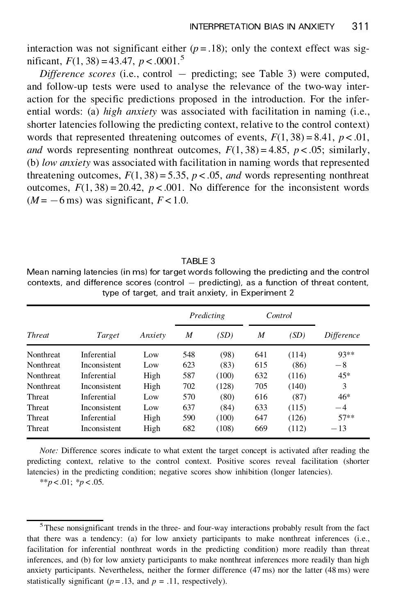interaction was not significant either  $(p=.18)$ ; only the context effect was significant,  $F(1, 38) = 43.47$ ,  $p < .0001$ .<sup>5</sup>

*Difference scores* (i.e., control – predicting; see Table 3) were computed, and follow-up tests were used to analyse the relevance of the two-way interaction for the specific predictions proposed in the introduction. For the inferential words: (a) *high anxiety* was associated with facilitation in naming (i.e., shorter latencies following the predicting context, relative to the control context) words that represented threatening outcomes of events,  $F(1, 38) = 8.41$ ,  $p < .01$ , *and* words representing nonthreat outcomes,  $F(1, 38) = 4.85$ ,  $p < .05$ ; similarly, (b) *low anxiety* was associated with facilitation in naming words that represented threatening outcomes,  $F(1, 38) = 5.35$ ,  $p < .05$ , *and* words representing nonthreat outcomes,  $F(1, 38) = 20.42$ ,  $p < .001$ . No difference for the inconsistent words  $(M = -6 \,\text{ms})$  was significant,  $F < 1.0$ .

### TABLE 3

Mean naming latencies (in ms) for target words following the predicting and the control  $contexts$ , and difference scores (control  $-$  predicting), as a function of threat content, type of target, and trait anxiety, in Experiment 2

|               | Target       | Anxiety | Predicting |       | Control |       |            |
|---------------|--------------|---------|------------|-------|---------|-------|------------|
| <b>Threat</b> |              |         | M          | (SD)  | M       | (SD)  | Difference |
| Nonthreat     | Inferential  | Low     | 548        | (98)  | 641     | (114) | $93**$     |
| Nonthreat     | Inconsistent | Low     | 623        | (83)  | 615     | (86)  | $-8$       |
| Nonthreat     | Inferential  | High    | 587        | (100) | 632     | (116) | $45*$      |
| Nonthreat     | Inconsistent | High    | 702        | (128) | 705     | (140) | 3          |
| Threat        | Inferential  | Low     | 570        | (80)  | 616     | (87)  | $46*$      |
| Threat        | Inconsistent | Low     | 637        | (84)  | 633     | (115) | $-4$       |
| Threat        | Inferential  | High    | 590        | (100) | 647     | (126) | $57**$     |
| Threat        | Inconsistent | High    | 682        | (108) | 669     | (112) | $-13$      |

*Note:* Difference scores indicate to what extent the target concept is activated after reading the predicting context, relative to the control context. Positive scores reveal facilitation (shorter latencies) in the predicting condition; negative scores show inhibition (longer latencies).

\*\**p* < .01; \**p* < .05.

<sup>5</sup>These nonsignificant trends in the three- and four-way interactions probably result from the fact that there was a tendency: (a) for low anxiety participants to make nonthreat inferences (i.e., facilitation for inferential nonthreat words in the predicting condition) more readily than threat inferences, and (b) for low anxiety participants to make nonthreat inferences more readily than high anxiety participants. Nevertheless, neither the former difference (47 ms) nor the latter (48 ms) were statistically significant ( $p = .13$ , and  $p = .11$ , respectively).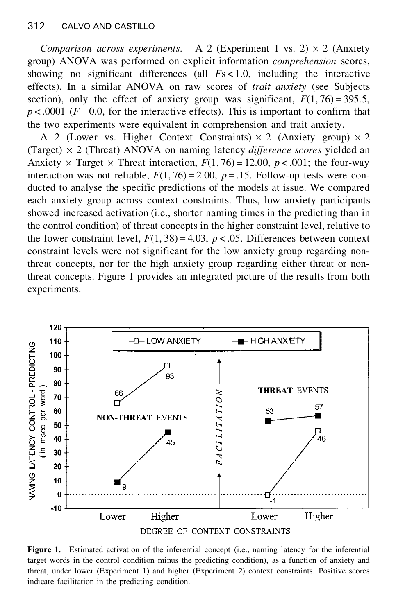*Comparison across experiments.* A 2 (Experiment 1 vs. 2)  $\times$  2 (Anxiety group) ANOVA was performed on explicit information *comprehension* scores, showing no significant differences (all *F*s < 1.0, including the interactive effects). In a similar ANOVA on raw scores of *trait anxiety* (see Subjects section), only the effect of anxiety group was significant,  $F(1, 76) = 395.5$ ,  $p < .0001$  ( $F = 0.0$ , for the interactive effects). This is important to confirm that the two experiments were equivalent in comprehension and trait anxiety.

A 2 (Lower vs. Higher Context Constraints)  $\times$  2 (Anxiety group)  $\times$  2 (Target)  $\times$  2 (Threat) ANOVA on naming latency *difference scores* yielded an Anxiety  $\times$  Target  $\times$  Threat interaction,  $F(1, 76) = 12.00$ ,  $p < .001$ ; the four-way interaction was not reliable,  $F(1, 76) = 2.00$ ,  $p = .15$ . Follow-up tests were conducted to analyse the specific predictions of the models at issue. We compared each anxiety group across context constraints. Thus, low anxiety participants showed increased activation (i.e., shorter naming times in the predicting than in the control condition) of threat concepts in the higher constraint level, relative to the lower constraint level,  $F(1, 38) = 4.03$ ,  $p < .05$ . Differences between context constraint levels were not significant for the low anxiety group regarding nonthreat concepts, nor for the high anxiety group regarding either threat or nonthreat concepts. Figure 1 provides an integrated picture of the results from both experiments.



**Figure 1.** Estimated activation of the inferential concept (i.e., naming latency for the inferential target words in the control condition minus the predicting condition), as a function of anxiety and threat, under lower (Experiment 1) and higher (Experiment 2) context constraints. Positive scores indicate facilitation in the predicting condition.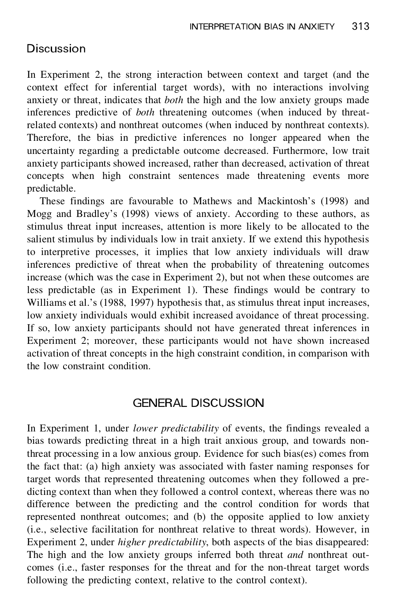### **Discussion**

In Experiment 2, the strong interaction between context and target (and the context effect for inferential target words), with no interactions involving anxiety or threat, indicates that *both* the high and the low anxiety groups made inferences predictive of *both* threatening outcomes (when induced by threatrelated contexts) and nonthreat outcomes (when induced by nonthreat contexts). Therefore, the bias in predictive inferences no longer appeared when the uncertainty regarding a predictable outcome decreased. Furthermore, low trait anxiety participants showed increased, rather than decreased, activation of threat concepts when high constraint sentences made threatening events more predictable.

These findings are favourable to Mathews and Mackintosh's (1998) and Mogg and Bradley's (1998) views of anxiety. According to these authors, as stimulus threat input increases, attention is more likely to be allocated to the salient stimulus by individuals low in trait anxiety. If we extend this hypothesis to interpretive processes, it implies that low anxiety individuals will draw inferences predictive of threat when the probability of threatening outcomes increase (which was the case in Experiment 2), but not when these outcomes are less predictable (as in Experiment 1). These findings would be contrary to Williams et al.'s (1988, 1997) hypothesis that, as stimulus threat input increases, low anxiety individuals would exhibit increased avoidance of threat processing. If so, low anxiety participants should not have generated threat inferences in Experiment 2; moreover, these participants would not have shown increased activation of threat concepts in the high constraint condition, in comparison with the low constraint condition.

### GENERAL DISCUSSION

In Experiment 1, under *lower predictability* of events, the findings revealed a bias towards predicting threat in a high trait anxious group, and towards nonthreat processing in a low anxious group. Evidence for such bias(es) comes from the fact that: (a) high anxiety was associated with faster naming responses for target words that represented threatening outcomes when they followed a predicting context than when they followed a control context, whereas there was no difference between the predicting and the control condition for words that represented nonthreat outcomes; and (b) the opposite applied to low anxiety (i.e., selective facilitation for nonthreat relative to threat words). However, in Experiment 2, under *higher predictability*, both aspects of the bias disappeared: The high and the low anxiety groups inferred both threat *and* nonthreat outcomes (i.e., faster responses for the threat and for the non-threat target words following the predicting context, relative to the control context).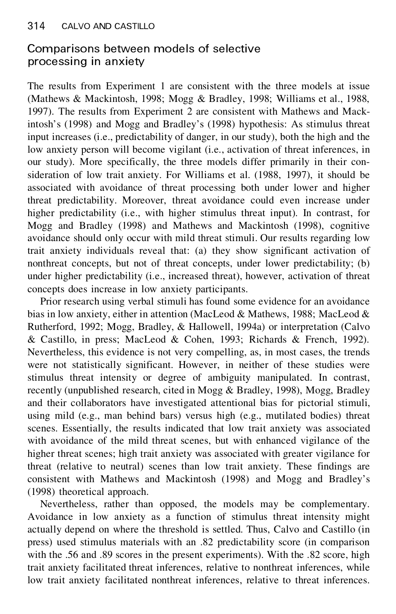# Comparisons between models of selective processing in anxiety

The results from Experiment 1 are consistent with the three models at issue (Mathews & Mackintosh, 1998; Mogg & Bradley, 1998; Williams et al., 1988, 1997). The results from Experiment 2 are consistent with Mathews and Mackintosh's (1998) and Mogg and Bradley's (1998) hypothesis: As stimulus threat input increases (i.e., predictability of danger, in our study), both the high and the low anxiety person will become vigilant (i.e., activation of threat inferences, in our study). More specifically, the three models differ primarily in their consideration of low trait anxiety. For Williams et al. (1988, 1997), it should be associated with avoidance of threat processing both under lower and higher threat predictability. Moreover, threat avoidance could even increase under higher predictability (i.e., with higher stimulus threat input). In contrast, for Mogg and Bradley (1998) and Mathews and Mackintosh (1998), cognitive avoidance should only occur with mild threat stimuli. Our results regarding low trait anxiety individuals reveal that: (a) they show significant activation of nonthreat concepts, but not of threat concepts, under lower predictability; (b) under higher predictability (i.e., increased threat), however, activation of threat concepts does increase in low anxiety participants.

Prior research using verbal stimuli has found some evidence for an avoidance bias in low anxiety, either in attention (MacLeod & Mathews, 1988; MacLeod & Rutherford, 1992; Mogg, Bradley, & Hallowell, 1994a) or interpretation (Calvo & Castillo, in press; MacLeod & Cohen, 1993; Richards & French, 1992). Nevertheless, this evidence is not very compelling, as, in most cases, the trends were not statistically significant. However, in neither of these studies were stimulus threat intensity or degree of ambiguity manipulated. In contrast, recently (unpublished research, cited in Mogg & Bradley, 1998), Mogg, Bradley and their collaborators have investigated attentional bias for pictorial stimuli, using mild (e.g., man behind bars) versus high (e.g., mutilated bodies) threat scenes. Essentially, the results indicated that low trait anxiety was associated with avoidance of the mild threat scenes, but with enhanced vigilance of the higher threat scenes; high trait anxiety was associated with greater vigilance for threat (relative to neutral) scenes than low trait anxiety. These findings are consistent with Mathews and Mackintosh (1998) and Mogg and Bradley's (1998) theoretical approach.

Nevertheless, rather than opposed, the models may be complementary. Avoidance in low anxiety as a function of stimulus threat intensity might actually depend on where the threshold is settled. Thus, Calvo and Castillo (in press) used stimulus materials with an .82 predictability score (in comparison with the .56 and .89 scores in the present experiments). With the .82 score, high trait anxiety facilitated threat inferences, relative to nonthreat inferences, while low trait anxiety facilitated nonthreat inferences, relative to threat inferences.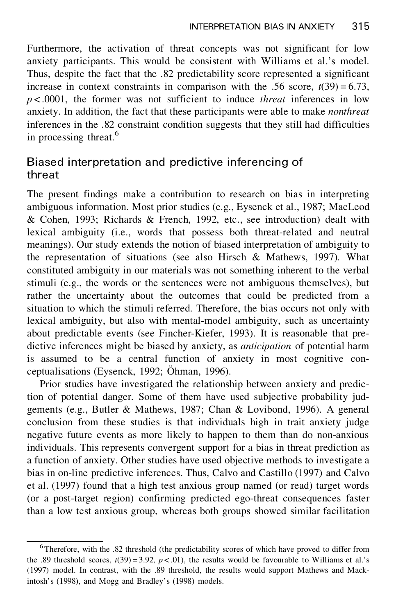Furthermore, the activation of threat concepts was not significant for low anxiety participants. This would be consistent with Williams et al.'s model. Thus, despite the fact that the .82 predictability score represented a significant increase in context constraints in comparison with the .56 score,  $t(39) = 6.73$ , *p* < .0001, the former was not sufficient to induce *threat* inferences in low anxiety. In addition, the fact that these participants were able to make *nonthreat* inferences in the .82 constraint condition suggests that they still had difficulties in processing threat.<sup>6</sup>

# Biased interpretation and predictive inferencing of threat

The present findings make a contribution to research on bias in interpreting ambiguous information. Most prior studies (e.g., Eysenck et al., 1987; MacLeod & Cohen, 1993; Richards & French, 1992, etc., see introduction) dealt with lexical ambiguity (i.e., words that possess both threat-related and neutral meanings). Our study extends the notion of biased interpretation of ambiguity to the representation of situations (see also Hirsch & Mathews, 1997). What constituted ambiguity in our materials was not something inherent to the verbal stimuli (e.g., the words or the sentences were not ambiguous themselves), but rather the uncertainty about the outcomes that could be predicted from a situation to which the stimuli referred. Therefore, the bias occurs not only with lexical ambiguity, but also with mental-model ambiguity, such as uncertainty about predictable events (see Fincher-Kiefer, 1993). It is reasonable that predictive inferences might be biased by anxiety, as *anticipation* of potential harm is assumed to be a central function of anxiety in most cognitive conceptualisations (Eysenck, 1992; Öhman, 1996).

Prior studies have investigated the relationship between anxiety and prediction of potential danger. Some of them have used subjective probability judgements (e.g., Butler & Mathews, 1987; Chan & Lovibond, 1996). A general conclusion from these studies is that individuals high in trait anxiety judge negative future events as more likely to happen to them than do non-anxious individuals. This represents convergent support for a bias in threat prediction as a function of anxiety. Other studies have used objective methods to investigate a bias in on-line predictive inferences. Thus, Calvo and Castillo (1997) and Calvo et al. (1997) found that a high test anxious group named (or read) target words (or a post-target region) confirming predicted ego-threat consequences faster than a low test anxious group, whereas both groups showed similar facilitation

<sup>6</sup>Therefore, with the .82 threshold (the predictability scores of which have proved to differ from the .89 threshold scores,  $t(39) = 3.92$ ,  $p < .01$ ), the results would be favourable to Williams et al.'s (1997) model. In contrast, with the .89 threshold, the results would support Mathews and Mackintosh's (1998), and Mogg and Bradley's (1998) models.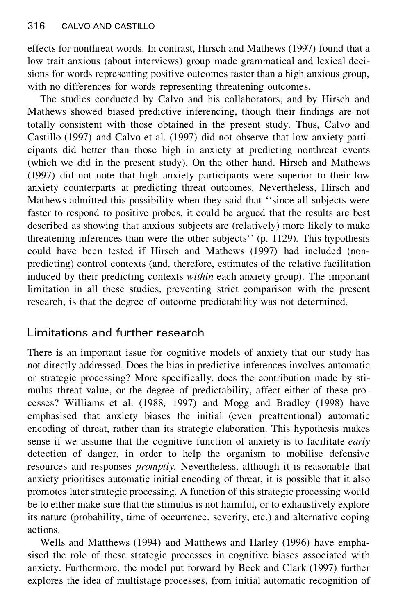effects for nonthreat words. In contrast, Hirsch and Mathews (1997) found that a low trait anxious (about interviews) group made grammatical and lexical decisions for words representing positive outcomes faster than a high anxious group, with no differences for words representing threatening outcomes.

The studies conducted by Calvo and his collaborators, and by Hirsch and Mathews showed biased predictive inferencing, though their findings are not totally consistent with those obtained in the present study. Thus, Calvo and Castillo (1997) and Calvo et al. (1997) did not observe that low anxiety participants did better than those high in anxiety at predicting nonthreat events (which we did in the present study). On the other hand, Hirsch and Mathews (1997) did not note that high anxiety participants were superior to their low anxiety counterparts at predicting threat outcomes. Nevertheless, Hirsch and Mathews admitted this possibility when they said that ''since all subjects were faster to respond to positive probes, it could be argued that the results are best described as showing that anxious subjects are (relatively) more likely to make threatening inferences than were the other subjects'' (p. 1129). This hypothesis could have been tested if Hirsch and Mathews (1997) had included (nonpredicting) control contexts (and, therefore, estimates of the relative facilitation induced by their predicting contexts *within* each anxiety group). The important limitation in all these studies, preventing strict comparison with the present research, is that the degree of outcome predictability was not determined.

# Limitations and further research

There is an important issue for cognitive models of anxiety that our study has not directly addressed. Does the bias in predictive inferences involves automatic or strategic processing? More specifically, does the contribution made by stimulus threat value, or the degree of predictability, affect either of these processes? Williams et al. (1988, 1997) and Mogg and Bradley (1998) have emphasised that anxiety biases the initial (even preattentional) automatic encoding of threat, rather than its strategic elaboration. This hypothesis makes sense if we assume that the cognitive function of anxiety is to facilitate *early* detection of danger, in order to help the organism to mobilise defensive resources and responses *promptly.* Nevertheless, although it is reasonable that anxiety prioritises automatic initial encoding of threat, it is possible that it also promotes later strategic processing. A function of this strategic processing would be to either make sure that the stimulus is not harmful, or to exhaustively explore its nature (probability, time of occurrence, severity, etc.) and alternative coping actions.

Wells and Matthews (1994) and Matthews and Harley (1996) have emphasised the role of these strategic processes in cognitive biases associated with anxiety. Furthermore, the model put forward by Beck and Clark (1997) further explores the idea of multistage processes, from initial automatic recognition of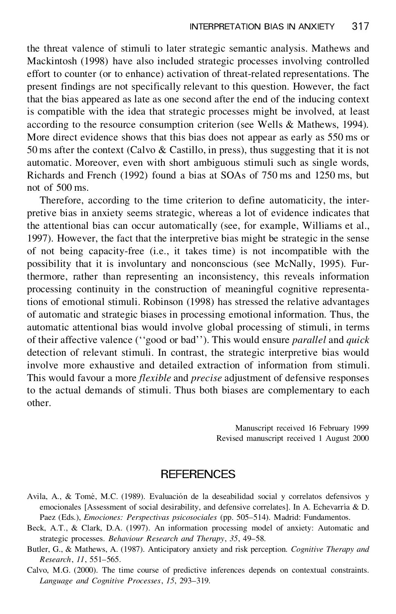the threat valence of stimuli to later strategic semantic analysis. Mathews and Mackintosh (1998) have also included strategic processes involving controlled effort to counter (or to enhance) activation of threat-related representations. The present findings are not specifically relevant to this question. However, the fact that the bias appeared as late as one second after the end of the inducing context is compatible with the idea that strategic processes might be involved, at least according to the resource consumption criterion (see Wells & Mathews, 1994). More direct evidence shows that this bias does not appear as early as 550 ms or 50 ms after the context (Calvo & Castillo, in press), thus suggesting that it is not automatic. Moreover, even with short ambiguous stimuli such as single words, Richards and French (1992) found a bias at SOAs of 750 ms and 1250 ms, but not of 500 ms.

Therefore, according to the time criterion to define automaticity, the interpretive bias in anxiety seems strategic, whereas a lot of evidence indicates that the attentional bias can occur automatically (see, for example, Williams et al., 1997). However, the fact that the interpretive bias might be strategic in the sense of not being capacity-free (i.e., it takes time) is not incompatible with the possibility that it is involuntary and nonconscious (see McNally, 1995). Furthermore, rather than representing an inconsistency, this reveals information processing continuity in the construction of meaningful cognitive representations of emotional stimuli. Robinson (1998) has stressed the relative advantages of automatic and strategic biases in processing emotional information. Thus, the automatic attentional bias would involve global processing of stimuli, in terms of their affective valence (''good or bad''). This would ensure *parallel* and *quick* detection of relevant stimuli. In contrast, the strategic interpretive bias would involve more exhaustive and detailed extraction of information from stimuli. This would favour a more *flexible* and *precise* adjustment of defensive responses to the actual demands of stimuli. Thus both biases are complementary to each other.

> Manuscript received 16 February 1999 Revised manuscript received 1 August 2000

### **REFERENCES**

- Avila, A., & Tomé, M.C. (1989). Evaluación de la deseabilidad social y correlatos defensivos y emocionales [Assessment of social desirability, and defensive correlates]. In A. Echevarría & D. Paez (Eds.), *Emociones: Perspectivas psicosociales* (pp. 505–514). Madrid: Fundamentos.
- Beck, A.T., & Clark, D.A. (1997). An information processing model of anxiety: Automatic and strategic processes. *Behaviour Research and Therapy*, *35*, 49–58.
- Butler, G., & Mathews, A. (1987). Anticipatory anxiety and risk perception. *Cognitive Therapy and Research*, *11*, 551–565.

Calvo, M.G. (2000). The time course of predictive inferences depends on contextual constraints. *Language and Cognitive Processes*, *15*, 293–319.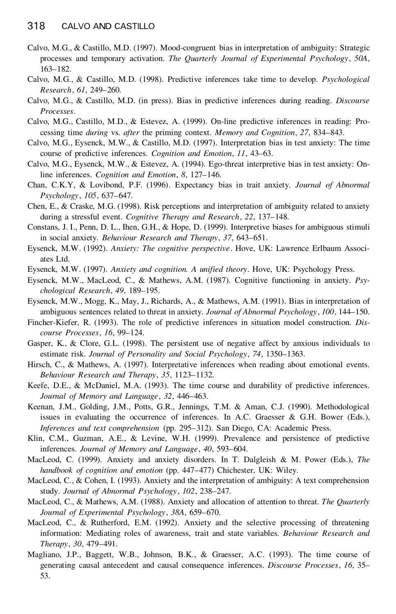- Calvo, M.G., & Castillo, M.D. (1997). Mood-congruent bias in interpretation of ambiguity: Strategic processes and temporary activation. *The Quarterly Journal of Experimental Psychology*, *50A*, 163–182.
- Calvo, M.G., & Castillo, M.D. (1998). Predictive inferences take time to develop. *Psychological Research*, *61*, 249–260.
- Calvo, M.G., & Castillo, M.D. (in press). Bias in predictive inferences during reading. *Discourse Processes*.
- Calvo, M.G., Castillo, M.D., & Estevez, A. (1999). On-line predictive inferences in reading: Processing time *during* vs. *after* the priming context. *Memory and Cognition*, *27*, 834–843.
- Calvo, M.G., Eysenck, M.W., & Castillo, M.D. (1997). Interpretation bias in test anxiety: The time course of predictive inferences. *Cognition and Emotion*, *11*, 43–63.
- Calvo, M.G., Eysenck, M.W., & Estevez, A. (1994). Ego-threat interpretive bias in test anxiety: Online inferences. *Cognition and Emotion*, *8*, 127–146.
- Chan, C.K.Y, & Lovibond, P.F. (1996). Expectancy bias in trait anxiety. *Journal of Abnormal Psychology*, *105*, 637–647.
- Chen, E., & Craske, M.G. (1998). Risk perceptions and interpretation of ambiguity related to anxiety during a stressful event. *Cognitive Therapy and Research*, *22*, 137–148.
- Constans, J. I., Penn, D. L., Ihen, G.H., & Hope, D. (1999). Interpretive biases for ambiguous stimuli in social anxiety. *Behaviour Research and Therapy*, *37*, 643–651.
- Eysenck, M.W. (1992). *Anxiety: The cognitive perspective*. Hove, UK: Lawrence Erlbaum Associates Ltd.
- Eysenck, M.W. (1997). *Anxiety and cognition. A unified theory*. Hove, UK: Psychology Press.
- Eysenck, M.W., MacLeod, C., & Mathews, A.M. (1987). Cognitive functioning in anxiety. *Psychological Research*, *49*, 189–195.
- Eysenck, M.W., Mogg, K., May, J., Richards, A., & Mathews, A.M. (1991). Bias in interpretation of ambiguous sentences related to threat in anxiety. *Journal of Abnormal Psychology*, *100*, 144–150.
- Fincher-Kiefer, R. (1993). The role of predictive inferences in situation model construction. *Dis course Processes*, *16*, 99–124.
- Gasper, K., & Clore, G.L. (1998). The persistent use of negative affect by anxious individuals to estimate risk. *Journal of Personality and Social Psychology*, *74*, 1350–1363.
- Hirsch, C., & Mathews, A. (1997). Interpretative inferences when reading about emotional events. *Behaviour Research and Therapy*, *35*, 1123–1132.
- Keefe, D.E., & McDaniel, M.A. (1993). The time course and durability of predictive inferences. *Journal of Memory and Language*, *32*, 446–463.
- Keenan, J.M., Golding, J.M., Potts, G.R., Jennings, T.M. & Aman, C.J. (1990). Methodological issues in evaluating the occurrence of inferences. In A.C. Graesser & G.H. Bower (Eds.), *Inferences and text comprehension* (pp. 295–312). San Diego, CA: Academic Press.
- Klin, C.M., Guzman, A.E., & Levine, W.H. (1999). Prevalence and persistence of predictive inferences. *Journal of Memory and Language*, *40*, 593–604.
- MacLeod, C. (1999). Anxiety and anxiety disorders. In T. Dalgleish & M.Power (Eds.), *The handbook of cognition and emotion* (pp. 447–477) Chichester, UK: Wiley.
- MacLeod, C., & Cohen, I. (1993). Anxiety and the interpretation of ambiguity: A text comprehension study. *Journal of Abnormal Psychology*, *102*, 238–247.
- MacLeod, C., & Mathews, A.M. (1988). Anxiety and allocation of attention to threat. *The Quarterly Journal of Experimental Psychology*, *38A*, 659–670.
- MacLeod, C., & Rutherford, E.M. (1992). Anxiety and the selective processing of threatening information: Mediating roles of awareness, trait and state variables. *Behaviour Research and Therapy*, *30*, 479–491.
- Magliano, J.P., Baggett, W.B., Johnson, B.K., & Graesser, A.C. (1993). The time course of generating causal antecedent and causal consequence inferences. *Discourse Processes*, *16*, 35– 53.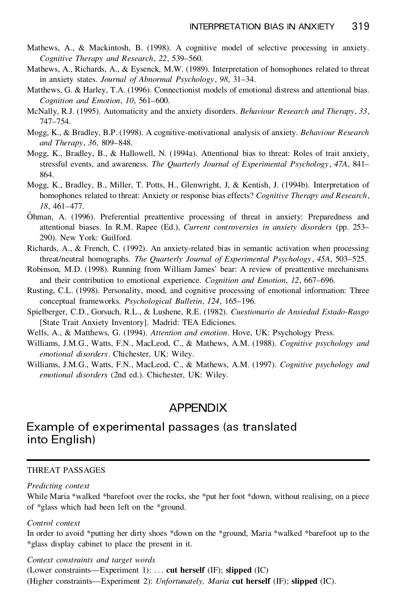- Mathews, A., & Mackintosh, B. (1998). A cognitive model of selective processing in anxiety. *Cognitive Therapy and Research*, *22*, 539–560.
- Mathews, A., Richards, A., & Eysenck, M.W. (1989). Interpretation of homophones related to threat in anxiety states. *Journal of Abnormal Psychology*, *98*, 31–34.
- Matthews, G. & Harley, T.A. (1996). Connectionist models of emotional distress and attentional bias. *Cognition and Emotion*, *10*, 561–600.
- McNally, R.J. (1995). Automaticity and the anxiety disorders. *Behaviour Research and Therapy*, *33*, 747–754.
- Mogg, K., & Bradley, B.P. (1998). A cognitive-motivational analysis of anxiety. *Behaviour Research and Therapy*, *36*, 809–848.
- Mogg, K., Bradley, B., & Hallowell, N. (1994a). Attentional bias to threat: Roles of trait anxiety, stressful events, and awareness. *The Quarterly Journal of Experimental Psychology*, *47A*, 841– 864.
- Mogg, K., Bradley, B., Miller, T. Potts, H., Glenwright, J, & Kentish, J. (1994b). Interpretation of homophones related to threat: Anxiety or response bias effects? *Cognitive Therapy and Research*, *18*, 461–477.
- OÈ hman, A. (1996). Preferential preattentive processing of threat in anxiety: Preparedness and attentional biases. In R.M. Rapee (Ed.), *Current controversies in anxiety disorders* (pp. 253– 290). New York: Guilford.
- Richards, A., & French, C. (1992). An anxiety-related bias in semantic activation when processing threat/neutral homographs. *The Quarterly Journal of Experimental Psychology*, *45A*, 503–525.
- Robinson, M.D. (1998). Running from William James' bear: A review of preattentive mechanisms and their contribution to emotional experience. *Cognition and Emotion*, *12*, 667–696.
- Rusting, C.L. (1998). Personality, mood, and cognitive processing of emotional information: Three conceptual frameworks. *Psychological Bulletin*, *124*, 165–196.
- Spielberger, C.D., Gorsuch, R.L., & Lushene, R.E. (1982). *Cuestionario de Ansiedad Estado-Rasgo* [State Trait Anxiety Inventory]. Madrid: TEA Ediciones.
- Wells, A., & Matthews, G. (1994). *Attention and emotion*. Hove, UK: Psychology Press.
- Williams, J.M.G., Watts, F.N., MacLeod, C., & Mathews, A.M. (1988). *Cognitive psychology and emotional disorders*. Chichester, UK: Wiley.
- Williams, J.M.G., Watts, F.N., MacLeod, C., & Mathews, A.M. (1997). *Cognitive psychology and emotional disorders* (2nd ed.). Chichester, UK: Wiley.

### APPENDIX

### Example of experimental passages (as translated into English)

#### THREAT PASSAGES

#### *Predicting context*

While Maria \*walked \*barefoot over the rocks, she \*put her foot \*down, without realising, on a piece of \*glass which had been left on the \*ground.

#### *Control context*

In order to avoid \*putting her dirty shoes \*down on the \*ground, Maria \*walked \*barefoot up to the \*glass display cabinet to place the present in it.

*Context constraints and target words*

(Lower constraints—Experiment 1): . . . **cut herself** (IF); **slipped** (IC)

(Higher constraints—Experiment 2): *Unfortunately, Maria* **cut herself** (IF); **slipped** (IC).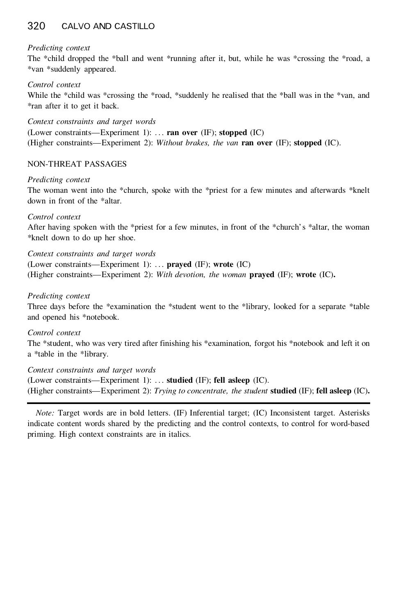### 320 CALVO AND CASTILLO

#### *Predicting context*

The \*child dropped the \*ball and went \*running after it, but, while he was \*crossing the \*road, a \*van \*suddenly appeared.

### *Control context*

While the \*child was \*crossing the \*road, \*suddenly he realised that the \*ball was in the \*van, and \*ran after it to get it back.

*Context constraints and target words* (Lower constraints—Experiment 1): . . . **ran over** (IF); **stopped** (IC) (Higher constraints—Experiment 2): *Without brakes, the van* **ran over** (IF); **stopped** (IC).

### NON-THREAT PASSAGES

#### *Predicting context*

The woman went into the \*church, spoke with the \*priest for a few minutes and afterwards \*knelt down in front of the \*altar.

#### *Control context*

After having spoken with the \*priest for a few minutes, in front of the \*church's \*altar, the woman \*knelt down to do up her shoe.

*Context constraints and target words*

(Lower constraints—Experiment 1): . . . **prayed** (IF); **wrote** (IC)

(Higher constraints—Experiment 2): *With devotion, the woman* **prayed** (IF); **wrote** (IC)**.**

#### *Predicting context*

Three days before the \*examination the \*student went to the \*library, looked for a separate \*table and opened his \*notebook.

#### *Control context*

The \*student, who was very tired after finishing his \*examination, forgot his \*notebook and left it on a \*table in the \*library.

*Context constraints and target words*

(Lower constraints—Experiment 1): . . . **studied** (IF); **fell asleep** (IC). (Higher constraints—Experiment 2): *Trying to concentrate, the student* **studied** (IF); **fell asleep** (IC)**.**

*Note:* Target words are in bold letters. (IF) Inferential target; (IC) Inconsistent target. Asterisks indicate content words shared by the predicting and the control contexts, to control for word-based priming. High context constraints are in italics.